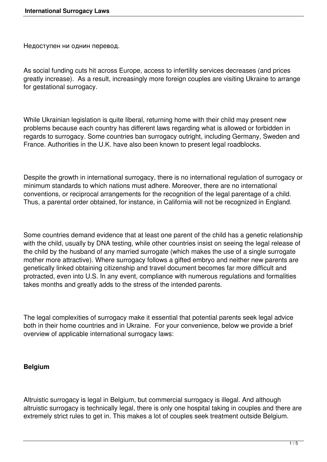Недоступен ни однин перевод.

As social funding cuts hit across Europe, access to infertility services decreases (and prices greatly increase). As a result, increasingly more foreign couples are visiting Ukraine to arrange for gestational surrogacy.

While Ukrainian legislation is quite liberal, returning home with their child may present new problems because each country has different laws regarding what is allowed or forbidden in regards to surrogacy. Some countries ban surrogacy outright, including Germany, Sweden and France. Authorities in the U.K. have also been known to present legal roadblocks.

Despite the growth in international surrogacy, there is no international regulation of surrogacy or minimum standards to which nations must adhere. Moreover, there are no international conventions, or reciprocal arrangements for the recognition of the legal parentage of a child. Thus, a parental order obtained, for instance, in California will not be recognized in England.

Some countries demand evidence that at least one parent of the child has a genetic relationship with the child, usually by DNA testing, while other countries insist on seeing the legal release of the child by the husband of any married surrogate (which makes the use of a single surrogate mother more attractive). Where surrogacy follows a gifted embryo and neither new parents are genetically linked obtaining citizenship and travel document becomes far more difficult and protracted, even into U.S. In any event, compliance with numerous regulations and formalities takes months and greatly adds to the stress of the intended parents.

The legal complexities of surrogacy make it essential that potential parents seek legal advice both in their home countries and in Ukraine. For your convenience, below we provide a brief overview of applicable international surrogacy laws:

## **Belgium**

Altruistic surrogacy is legal in Belgium, but commercial surrogacy is illegal. And although altruistic surrogacy is technically legal, there is only one hospital taking in couples and there are extremely strict rules to get in. This makes a lot of couples seek treatment outside Belgium.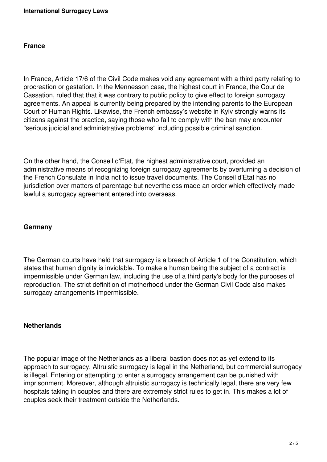## **France**

In France, Article 17/6 of the Civil Code makes void any agreement with a third party relating to procreation or gestation. In the Mennesson case, the highest court in France, the Cour de Cassation, ruled that that it was contrary to public policy to give effect to foreign surrogacy agreements. An appeal is currently being prepared by the intending parents to the European Court of Human Rights. Likewise, the French embassy's website in Kyiv strongly warns its citizens against the practice, saying those who fail to comply with the ban may encounter "serious judicial and administrative problems" including possible criminal sanction.

On the other hand, the Conseil d'Etat, the highest administrative court, provided an administrative means of recognizing foreign surrogacy agreements by overturning a decision of the French Consulate in India not to issue travel documents. The Conseil d'Etat has no jurisdiction over matters of parentage but nevertheless made an order which effectively made lawful a surrogacy agreement entered into overseas.

### **Germany**

The German courts have held that surrogacy is a breach of Article 1 of the Constitution, which states that human dignity is inviolable. To make a human being the subject of a contract is impermissible under German law, including the use of a third party's body for the purposes of reproduction. The strict definition of motherhood under the German Civil Code also makes surrogacy arrangements impermissible.

#### **Netherlands**

The popular image of the Netherlands as a liberal bastion does not as yet extend to its approach to surrogacy. Altruistic surrogacy is legal in the Netherland, but commercial surrogacy is illegal. Entering or attempting to enter a surrogacy arrangement can be punished with imprisonment. Moreover, although altruistic surrogacy is technically legal, there are very few hospitals taking in couples and there are extremely strict rules to get in. This makes a lot of couples seek their treatment outside the Netherlands.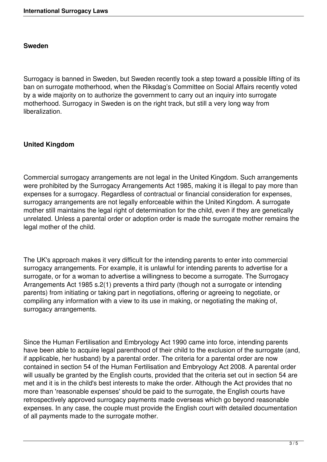### **Sweden**

Surrogacy is banned in Sweden, but Sweden recently took a step toward a possible lifting of its ban on surrogate motherhood, when the Riksdag's Committee on Social Affairs recently voted by a wide majority on to authorize the government to carry out an inquiry into surrogate motherhood. Surrogacy in Sweden is on the right track, but still a very long way from liberalization.

# **United Kingdom**

Commercial surrogacy arrangements are not legal in the United Kingdom. Such arrangements were prohibited by the Surrogacy Arrangements Act 1985, making it is illegal to pay more than expenses for a surrogacy. Regardless of contractual or financial consideration for expenses, surrogacy arrangements are not legally enforceable within the United Kingdom. A surrogate mother still maintains the legal right of determination for the child, even if they are genetically unrelated. Unless a parental order or adoption order is made the surrogate mother remains the legal mother of the child.

The UK's approach makes it very difficult for the intending parents to enter into commercial surrogacy arrangements. For example, it is unlawful for intending parents to advertise for a surrogate, or for a woman to advertise a willingness to become a surrogate. The Surrogacy Arrangements Act 1985 s.2(1) prevents a third party (though not a surrogate or intending parents) from initiating or taking part in negotiations, offering or agreeing to negotiate, or compiling any information with a view to its use in making, or negotiating the making of, surrogacy arrangements.

Since the Human Fertilisation and Embryology Act 1990 came into force, intending parents have been able to acquire legal parenthood of their child to the exclusion of the surrogate (and, if applicable, her husband) by a parental order. The criteria for a parental order are now contained in section 54 of the Human Fertilisation and Embryology Act 2008. A parental order will usually be granted by the English courts, provided that the criteria set out in section 54 are met and it is in the child's best interests to make the order. Although the Act provides that no more than 'reasonable expenses' should be paid to the surrogate, the English courts have retrospectively approved surrogacy payments made overseas which go beyond reasonable expenses. In any case, the couple must provide the English court with detailed documentation of all payments made to the surrogate mother.